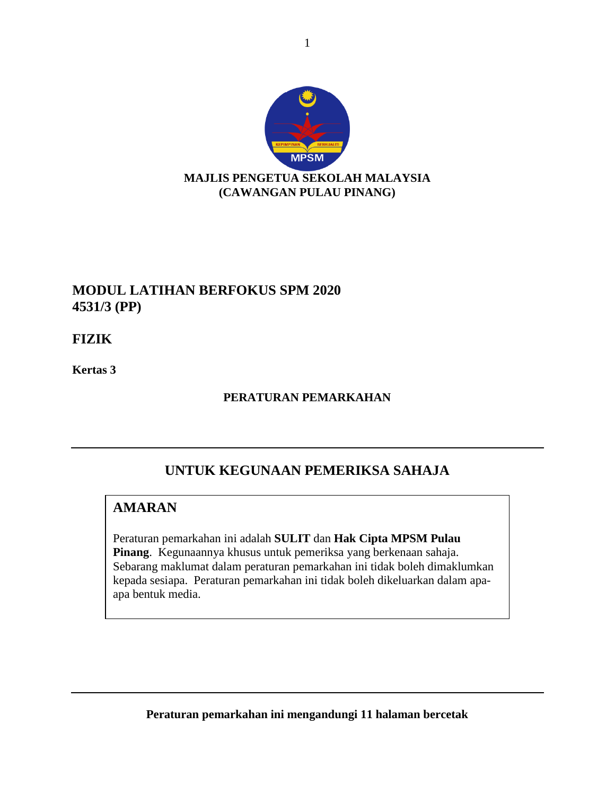

# **MODUL LATIHAN BERFOKUS SPM 2020 4531/3 (PP)**

**FIZIK**

**Kertas 3**

#### **PERATURAN PEMARKAHAN**

# **UNTUK KEGUNAAN PEMERIKSA SAHAJA**

## **AMARAN**

Peraturan pemarkahan ini adalah **SULIT** dan **Hak Cipta MPSM Pulau Pinang**. Kegunaannya khusus untuk pemeriksa yang berkenaan sahaja. Sebarang maklumat dalam peraturan pemarkahan ini tidak boleh dimaklumkan kepada sesiapa. Peraturan pemarkahan ini tidak boleh dikeluarkan dalam apaapa bentuk media.

**Peraturan pemarkahan ini mengandungi 11 halaman bercetak**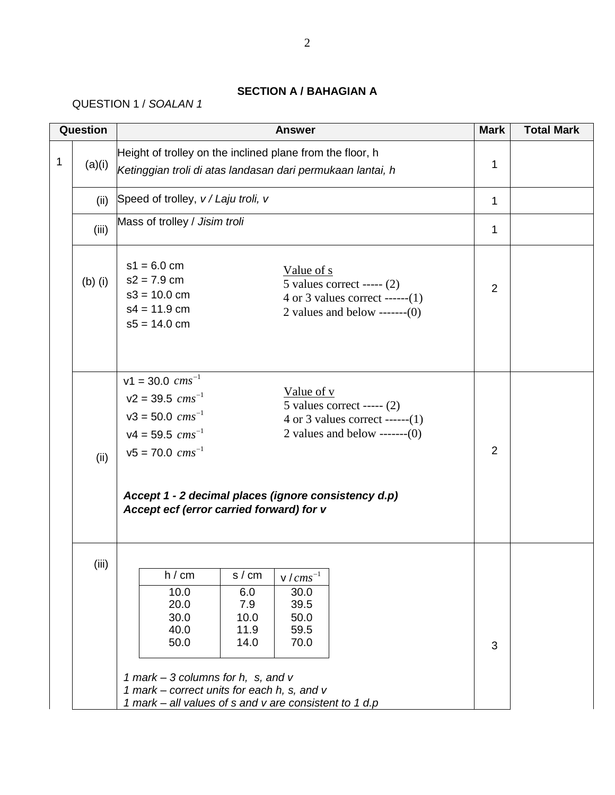### **SECTION A / BAHAGIAN A**

### QUESTION 1 / *SOALAN 1*

|   | Question                                    |                                                                                                                                                                               | <b>Answer</b>                                                                                                                                                                     | <b>Mark</b>    | <b>Total Mark</b> |
|---|---------------------------------------------|-------------------------------------------------------------------------------------------------------------------------------------------------------------------------------|-----------------------------------------------------------------------------------------------------------------------------------------------------------------------------------|----------------|-------------------|
| 1 | (a)(i)                                      |                                                                                                                                                                               | Height of trolley on the inclined plane from the floor, h<br>Ketinggian troli di atas landasan dari permukaan lantai, h                                                           | 1              |                   |
|   | Speed of trolley, v / Laju troli, v<br>(ii) |                                                                                                                                                                               |                                                                                                                                                                                   |                |                   |
|   | (iii)                                       | Mass of trolley / Jisim troli                                                                                                                                                 |                                                                                                                                                                                   | 1              |                   |
|   | $(b)$ (i)                                   | $s1 = 6.0$ cm<br>$s2 = 7.9$ cm<br>$s3 = 10.0$ cm<br>$s4 = 11.9$ cm<br>$s5 = 14.0$ cm                                                                                          | Value of s<br>5 values correct ----- $(2)$<br>4 or 3 values correct ------(1)<br>2 values and below ------- $(0)$                                                                 | $\overline{2}$ |                   |
|   | (ii)                                        | $v1 = 30.0$ $cm s^{-1}$<br>$v2 = 39.5$ $cms^{-1}$<br>$v3 = 50.0$ $cm s^{-1}$<br>$v4 = 59.5$ $cms^{-1}$<br>$v5 = 70.0$ $cm s^{-1}$<br>Accept ecf (error carried forward) for v | Value of $v$<br>5 values correct ----- $(2)$<br>4 or 3 values correct ------(1)<br>2 values and below ------- $(0)$<br>Accept 1 - 2 decimal places (ignore consistency d.p)       | $\overline{2}$ |                   |
|   | (iii)                                       | h / cm<br>10.0<br>20.0<br>30.0<br>40.0<br>50.0<br>1 mark – 3 columns for h, s, and $v$<br>1 mark – correct units for each h, s, and v                                         | $\overline{s}$ / cm<br>$\sqrt{cm s^{-1}}$<br>6.0<br>30.0<br>39.5<br>7.9<br>10.0<br>50.0<br>11.9<br>59.5<br>14.0<br>70.0<br>1 mark - all values of s and v are consistent to 1 d.p | 3              |                   |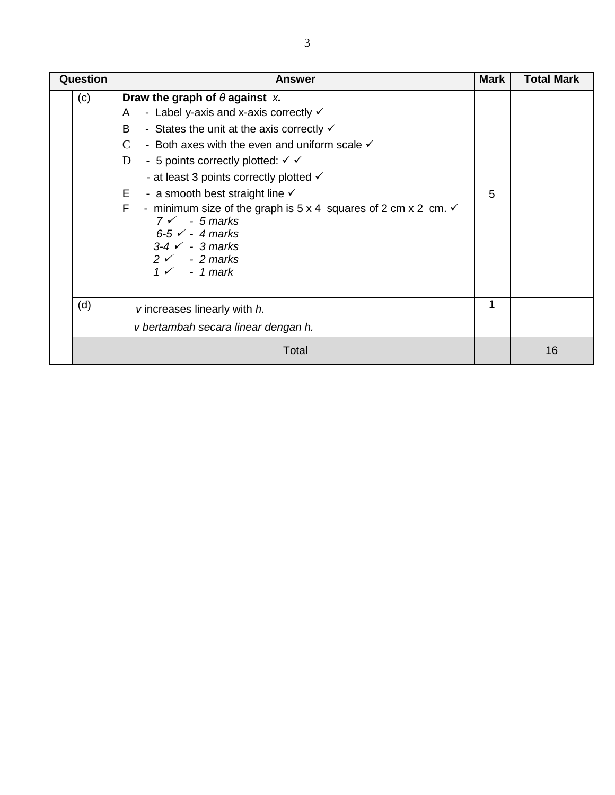| <b>Question</b>                                                            | <b>Answer</b>                                                                                                                                                                                                                                                                                                                                                                                                                                                                                                                                                                                                                       | <b>Mark</b> | <b>Total Mark</b> |
|----------------------------------------------------------------------------|-------------------------------------------------------------------------------------------------------------------------------------------------------------------------------------------------------------------------------------------------------------------------------------------------------------------------------------------------------------------------------------------------------------------------------------------------------------------------------------------------------------------------------------------------------------------------------------------------------------------------------------|-------------|-------------------|
| (c)                                                                        | Draw the graph of $\theta$ against x.<br>- Label y-axis and x-axis correctly $\checkmark$<br>A<br>B<br>- States the unit at the axis correctly $\checkmark$<br>$\mathcal{C}$<br>- Both axes with the even and uniform scale $\checkmark$<br>D<br>- 5 points correctly plotted: $\checkmark$<br>- at least 3 points correctly plotted $\checkmark$<br>Е<br>- a smooth best straight line $\checkmark$<br>F<br>- minimum size of the graph is $5 \times 4$ squares of 2 cm $\times$ 2 cm. $\times$<br>$7 \times -5$ marks<br>$6-5$ $\checkmark$ - 4 marks<br>$3-4$ $\checkmark$ - 3 marks<br>$2 \times 2$ marks<br>$1 \times -1$ mark | 5           |                   |
| (d)<br>v increases linearly with h.<br>v bertambah secara linear dengan h. |                                                                                                                                                                                                                                                                                                                                                                                                                                                                                                                                                                                                                                     | 1           |                   |
|                                                                            | Total                                                                                                                                                                                                                                                                                                                                                                                                                                                                                                                                                                                                                               |             | 16                |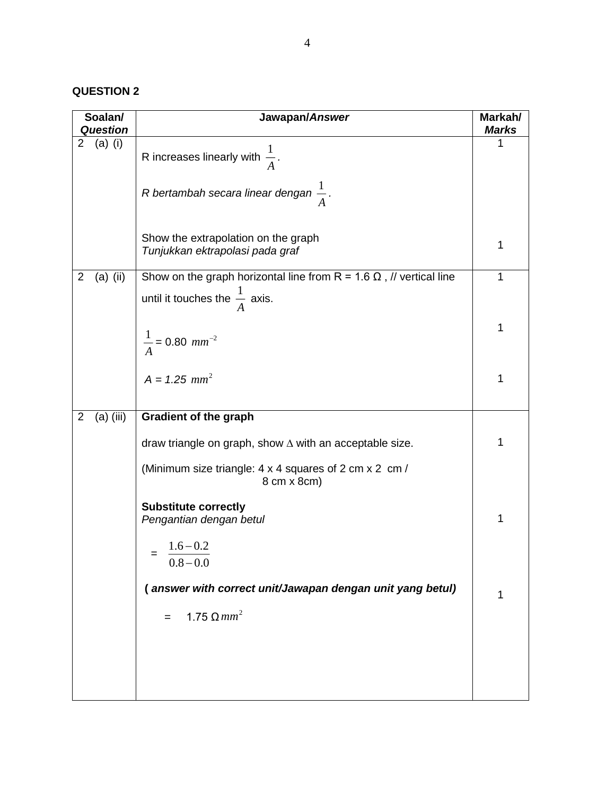#### **QUESTION 2**

| Soalan/<br><b>Question</b>   | Jawapan/Answer                                                             | Markah/<br><b>Marks</b> |
|------------------------------|----------------------------------------------------------------------------|-------------------------|
| (a) (i)<br>$\overline{2}$    |                                                                            | 1                       |
|                              | R increases linearly with $\frac{1}{4}$ .                                  |                         |
|                              | R bertambah secara linear dengan $\frac{1}{4}$ .                           |                         |
|                              | Show the extrapolation on the graph<br>Tunjukkan ektrapolasi pada graf     | 1                       |
| $(a)$ (ii)<br>$\overline{c}$ | Show on the graph horizontal line from R = 1.6 $\Omega$ , // vertical line | $\mathbf{1}$            |
|                              | until it touches the $\frac{1}{4}$ axis.                                   |                         |
|                              | $\frac{1}{A}$ = 0.80 mm <sup>-2</sup>                                      | 1                       |
|                              | $A = 1.25$ mm <sup>2</sup>                                                 | 1                       |
| $(a)$ (iii)<br>2             | <b>Gradient of the graph</b>                                               |                         |
|                              | draw triangle on graph, show $\Delta$ with an acceptable size.             | 1                       |
|                              | (Minimum size triangle: 4 x 4 squares of 2 cm x 2 cm /<br>8 cm x 8 cm)     |                         |
|                              | <b>Substitute correctly</b><br>Pengantian dengan betul                     | 1                       |
|                              | $1.6 - 0.2$<br>$0.8 - 0.0$                                                 |                         |
|                              | (answer with correct unit/Jawapan dengan unit yang betul)                  | 1                       |
|                              | 1.75 $\Omega$ mm <sup>2</sup>                                              |                         |
|                              |                                                                            |                         |
|                              |                                                                            |                         |
|                              |                                                                            |                         |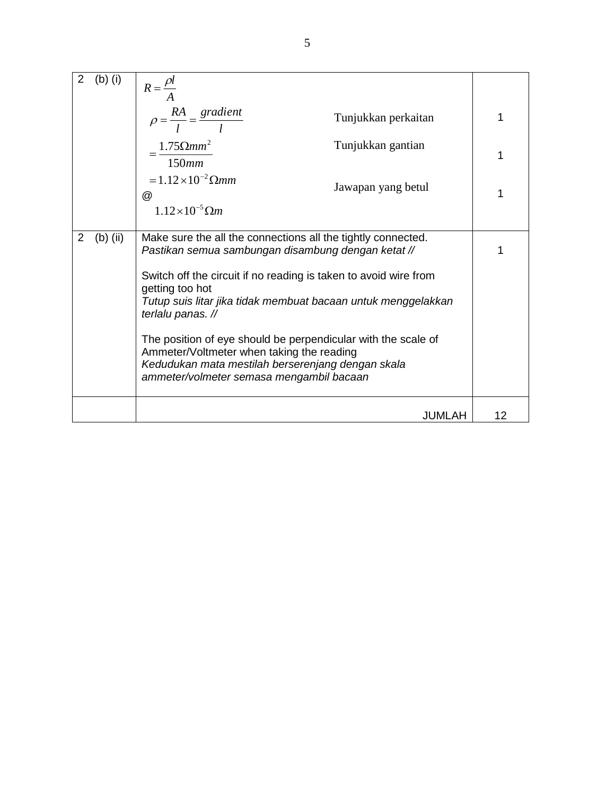|   | $(b)$ (i)  | $R = \frac{\rho l}{\rho}$                                                                                                                                                                                                                                                                                                                                                                                                                                                                                      |    |  |
|---|------------|----------------------------------------------------------------------------------------------------------------------------------------------------------------------------------------------------------------------------------------------------------------------------------------------------------------------------------------------------------------------------------------------------------------------------------------------------------------------------------------------------------------|----|--|
|   |            | $\rho = \frac{RA}{I} = \frac{gradient}{I}$<br>Tunjukkan perkaitan                                                                                                                                                                                                                                                                                                                                                                                                                                              | 1  |  |
|   |            | $1.75 \Omega$ mm <sup>2</sup><br>Tunjukkan gantian<br>150mm                                                                                                                                                                                                                                                                                                                                                                                                                                                    | 1  |  |
|   |            | $=1.12\times10^{-2} \Omega$ mm<br>Jawapan yang betul<br>$^{\textregistered}$<br>$1.12\times10^{-5}$ $\Omega$ m                                                                                                                                                                                                                                                                                                                                                                                                 | 1  |  |
| 2 | $(b)$ (ii) | Make sure the all the connections all the tightly connected.<br>Pastikan semua sambungan disambung dengan ketat //<br>Switch off the circuit if no reading is taken to avoid wire from<br>getting too hot<br>Tutup suis litar jika tidak membuat bacaan untuk menggelakkan<br>terlalu panas. //<br>The position of eye should be perpendicular with the scale of<br>Ammeter/Voltmeter when taking the reading<br>Kedudukan mata mestilah berserenjang dengan skala<br>ammeter/volmeter semasa mengambil bacaan |    |  |
|   |            | <b>JUMLAH</b>                                                                                                                                                                                                                                                                                                                                                                                                                                                                                                  | 12 |  |
|   |            |                                                                                                                                                                                                                                                                                                                                                                                                                                                                                                                |    |  |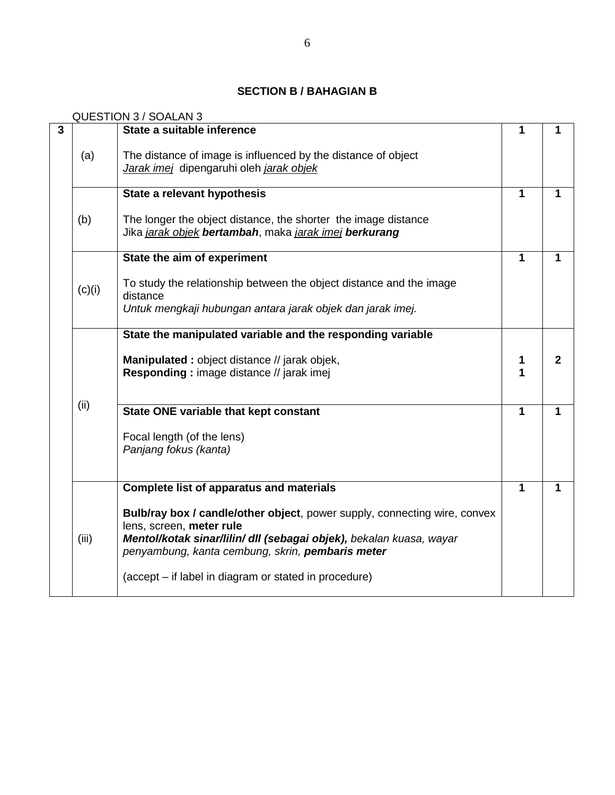## **SECTION B / BAHAGIAN B**

QUESTION 3 / SOALAN 3

| $\mathbf{3}$ |        | State a suitable inference                                                                                                                                                                                                       | 1            | 1            |
|--------------|--------|----------------------------------------------------------------------------------------------------------------------------------------------------------------------------------------------------------------------------------|--------------|--------------|
|              | (a)    | The distance of image is influenced by the distance of object<br>Jarak imej dipengaruhi oleh jarak objek                                                                                                                         |              |              |
|              |        | State a relevant hypothesis                                                                                                                                                                                                      | 1            | 1            |
|              | (b)    | The longer the object distance, the shorter the image distance<br>Jika jarak objek bertambah, maka jarak imej berkurang                                                                                                          |              |              |
|              |        | State the aim of experiment                                                                                                                                                                                                      | 1            | 1            |
|              | (c)(i) | To study the relationship between the object distance and the image<br>distance                                                                                                                                                  |              |              |
|              |        | Untuk mengkaji hubungan antara jarak objek dan jarak imej.                                                                                                                                                                       |              |              |
|              |        | State the manipulated variable and the responding variable                                                                                                                                                                       |              |              |
|              | (ii)   | Manipulated: object distance // jarak objek,<br>Responding: image distance // jarak imej                                                                                                                                         | 1<br>1       | 2            |
|              |        | State ONE variable that kept constant                                                                                                                                                                                            | $\mathbf{1}$ | $\mathbf{1}$ |
|              |        | Focal length (of the lens)<br>Panjang fokus (kanta)                                                                                                                                                                              |              |              |
|              |        | <b>Complete list of apparatus and materials</b>                                                                                                                                                                                  | $\mathbf{1}$ | 1            |
|              | (iii)  | Bulb/ray box / candle/other object, power supply, connecting wire, convex<br>lens, screen, meter rule<br>Mentol/kotak sinar/lilin/ dll (sebagai objek), bekalan kuasa, wayar<br>penyambung, kanta cembung, skrin, pembaris meter |              |              |
|              |        | (accept – if label in diagram or stated in procedure)                                                                                                                                                                            |              |              |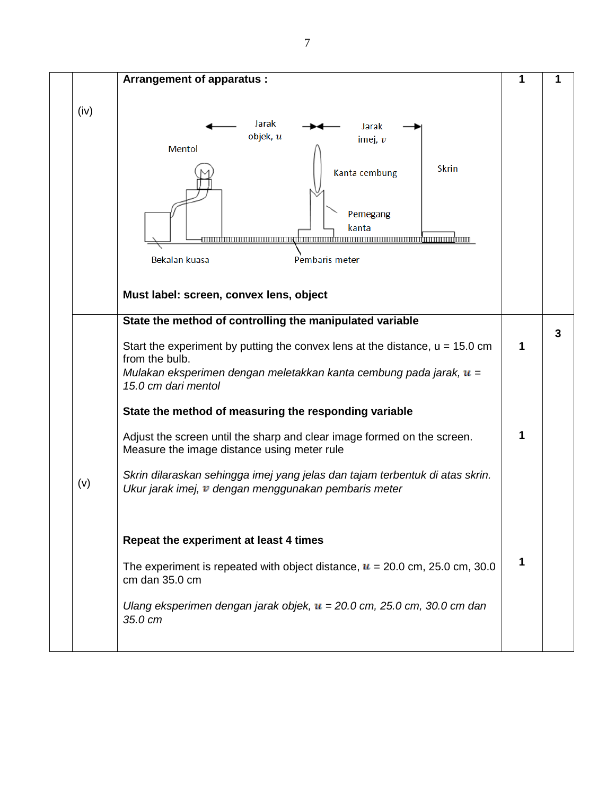|      | <b>Arrangement of apparatus:</b>                                                                                                                                                                                                                                                                                                                                                                                                                                                                                                                                                                                                                                                                                                                                                                                                    | 1           | 1 |
|------|-------------------------------------------------------------------------------------------------------------------------------------------------------------------------------------------------------------------------------------------------------------------------------------------------------------------------------------------------------------------------------------------------------------------------------------------------------------------------------------------------------------------------------------------------------------------------------------------------------------------------------------------------------------------------------------------------------------------------------------------------------------------------------------------------------------------------------------|-------------|---|
| (iv) | Jarak<br>Jarak<br>objek, u<br>imej, $v$<br><b>Mentol</b><br><b>Skrin</b><br>Kanta cembung<br>Pemegang<br>kanta<br>Bekalan kuasa<br>Pembaris meter<br>Must label: screen, convex lens, object                                                                                                                                                                                                                                                                                                                                                                                                                                                                                                                                                                                                                                        |             |   |
| (v)  | State the method of controlling the manipulated variable<br>Start the experiment by putting the convex lens at the distance, $u = 15.0$ cm<br>from the bulb.<br>Mulakan eksperimen dengan meletakkan kanta cembung pada jarak, $\mathbf{u} =$<br>15.0 cm dari mentol<br>State the method of measuring the responding variable<br>Adjust the screen until the sharp and clear image formed on the screen.<br>Measure the image distance using meter rule<br>Skrin dilaraskan sehingga imej yang jelas dan tajam terbentuk di atas skrin.<br>Ukur jarak imej, v dengan menggunakan pembaris meter<br>Repeat the experiment at least 4 times<br>The experiment is repeated with object distance, $u = 20.0$ cm, 25.0 cm, 30.0<br>cm dan 35.0 cm<br>Ulang eksperimen dengan jarak objek, $u = 20.0$ cm, 25.0 cm, 30.0 cm dan<br>35.0 cm | 1<br>1<br>1 | 3 |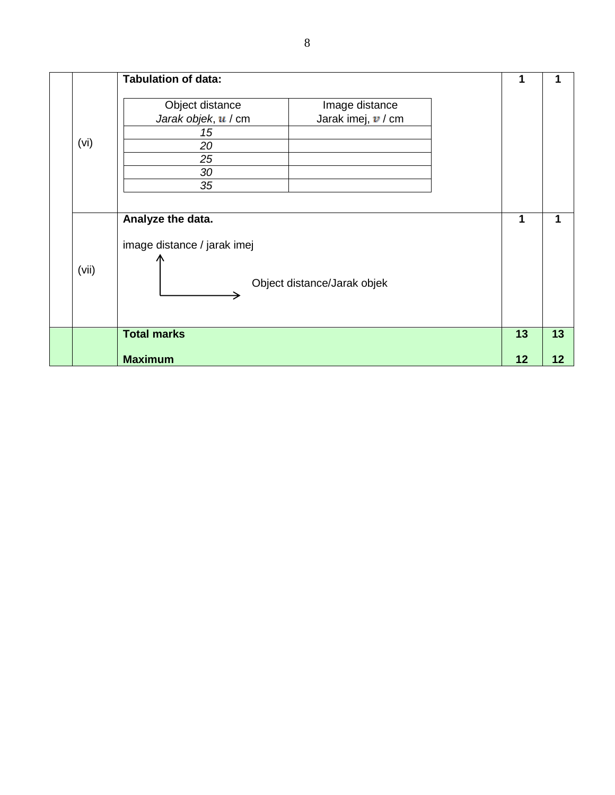|       | <b>Tabulation of data:</b>                       |                             |    | 1  |
|-------|--------------------------------------------------|-----------------------------|----|----|
|       | Object distance                                  | Image distance              |    |    |
|       | Jarak objek, u / cm                              | Jarak imej, $v / cm$        |    |    |
|       | 15                                               |                             |    |    |
| (vi)  | 20                                               |                             |    |    |
|       | 25                                               |                             |    |    |
|       | 30                                               |                             |    |    |
|       | 35                                               |                             |    |    |
| (vii) | Analyze the data.<br>image distance / jarak imej | Object distance/Jarak objek | 1  | 1  |
|       | <b>Total marks</b>                               |                             | 13 | 13 |
|       | <b>Maximum</b>                                   |                             | 12 | 12 |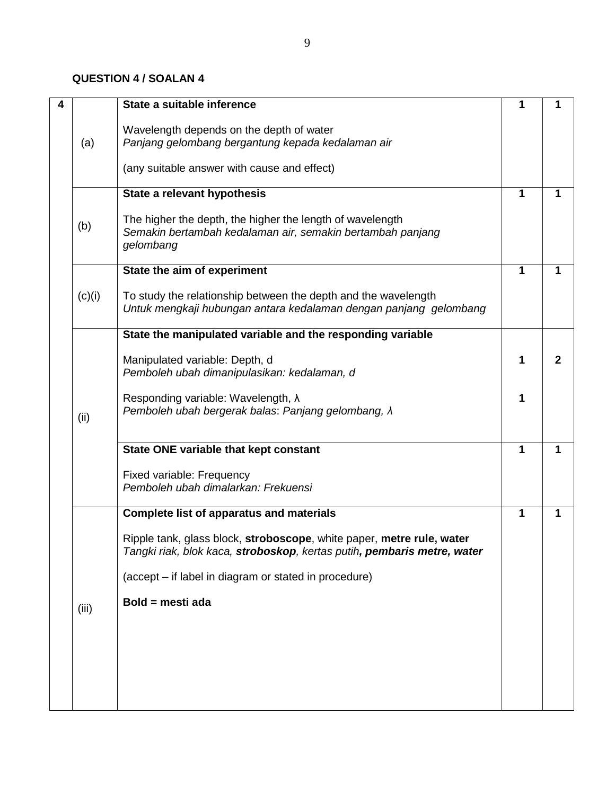### **QUESTION 4 / SOALAN 4**

| 4 |        | State a suitable inference                                                                                                                       | 1 | 1              |
|---|--------|--------------------------------------------------------------------------------------------------------------------------------------------------|---|----------------|
|   | (a)    | Wavelength depends on the depth of water<br>Panjang gelombang bergantung kepada kedalaman air                                                    |   |                |
|   |        | (any suitable answer with cause and effect)                                                                                                      |   |                |
|   |        | State a relevant hypothesis                                                                                                                      | 1 |                |
|   | (b)    | The higher the depth, the higher the length of wavelength<br>Semakin bertambah kedalaman air, semakin bertambah panjang<br>gelombang             |   |                |
|   |        | State the aim of experiment                                                                                                                      | 1 | 1              |
|   | (c)(i) | To study the relationship between the depth and the wavelength<br>Untuk mengkaji hubungan antara kedalaman dengan panjang gelombang              |   |                |
|   |        | State the manipulated variable and the responding variable                                                                                       |   |                |
|   |        | Manipulated variable: Depth, d<br>Pemboleh ubah dimanipulasikan: kedalaman, d                                                                    | 1 | $\overline{2}$ |
|   | (ii)   | Responding variable: Wavelength, $\lambda$<br>Pemboleh ubah bergerak balas: Panjang gelombang, $\lambda$                                         | 1 |                |
|   |        | State ONE variable that kept constant                                                                                                            | 1 | 1              |
|   |        | Fixed variable: Frequency<br>Pemboleh ubah dimalarkan: Frekuensi                                                                                 |   |                |
|   |        | <b>Complete list of apparatus and materials</b>                                                                                                  | 1 | 1              |
|   |        | Ripple tank, glass block, stroboscope, white paper, metre rule, water<br>Tangki riak, blok kaca, stroboskop, kertas putih, pembaris metre, water |   |                |
|   |        | (accept - if label in diagram or stated in procedure)                                                                                            |   |                |
|   | (iii)  | Bold = mesti ada                                                                                                                                 |   |                |
|   |        |                                                                                                                                                  |   |                |
|   |        |                                                                                                                                                  |   |                |
|   |        |                                                                                                                                                  |   |                |
|   |        |                                                                                                                                                  |   |                |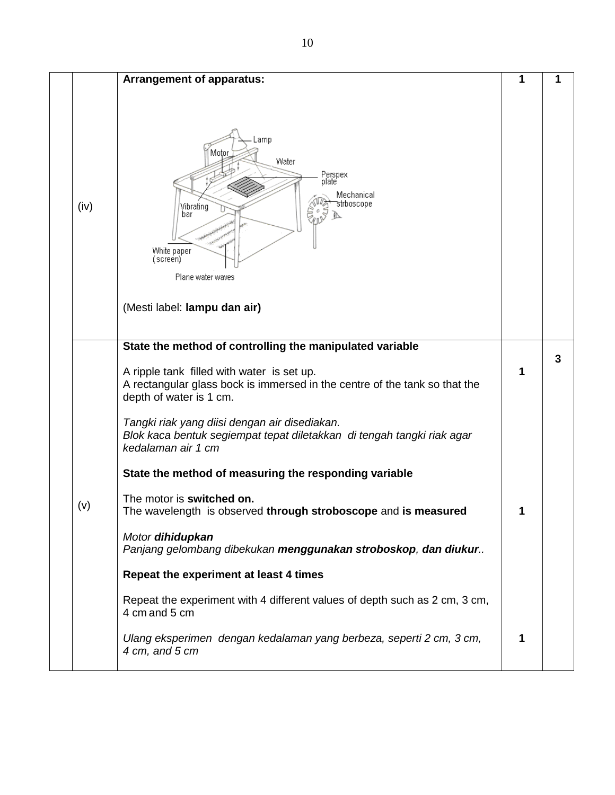|      | Arrangement of apparatus:                                                                                                                                                                                                                                                                            | 1 | 1 |
|------|------------------------------------------------------------------------------------------------------------------------------------------------------------------------------------------------------------------------------------------------------------------------------------------------------|---|---|
| (iv) | .amp<br>Motor<br>Water<br>Perspex<br>plate<br>Mechanical<br>strboscope<br>Vibrating<br>bar<br>White paper<br>(screen)<br>Plane water waves<br>(Mesti label: lampu dan air)                                                                                                                           |   |   |
|      | State the method of controlling the manipulated variable                                                                                                                                                                                                                                             |   |   |
|      | A ripple tank filled with water is set up.<br>A rectangular glass bock is immersed in the centre of the tank so that the<br>depth of water is 1 cm.<br>Tangki riak yang diisi dengan air disediakan.<br>Blok kaca bentuk segiempat tepat diletakkan di tengah tangki riak agar<br>kedalaman air 1 cm | 1 | 3 |
|      | State the method of measuring the responding variable                                                                                                                                                                                                                                                |   |   |
| (v)  | The motor is switched on.<br>The wavelength is observed through stroboscope and is measured<br>Motor dihidupkan<br>Panjang gelombang dibekukan menggunakan stroboskop, dan diukur                                                                                                                    | 1 |   |
|      | Repeat the experiment at least 4 times                                                                                                                                                                                                                                                               |   |   |
|      | Repeat the experiment with 4 different values of depth such as 2 cm, 3 cm,<br>4 cm and 5 cm                                                                                                                                                                                                          |   |   |
|      | Ulang eksperimen dengan kedalaman yang berbeza, seperti 2 cm, 3 cm,<br>4 cm, and 5 cm                                                                                                                                                                                                                | 1 |   |